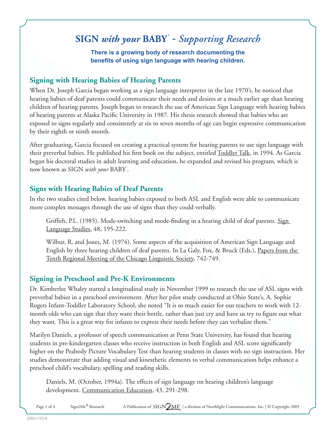# **SIGN** *with your* **BABY ®** - *Supporting Research*

#### **There is a growing body of research documenting the benefits of using sign language with hearing children.**

## **Signing with Hearing Babies of Hearing Parents**

When Dr. Joseph Garcia began working as a sign language interpreter in the late 1970's, he noticed that hearing babies of deaf parents could communicate their needs and desires at a much earlier age than hearing children of hearing parents. Joseph began to research the use of American Sign Language with hearing babies of hearing parents at Alaska Pacific University in 1987. His thesis research showed that babies who are exposed to signs regularly and consistently at six to seven months of age can begin expressive communication by their eighth or ninth month.

After graduating, Garcia focused on creating a practical system for hearing parents to use sign language with their preverbal babies. He published his first book on the subject, entitled Toddler Talk, in 1994. As Garcia began his doctoral studies in adult learning and education, he expanded and revised his program, which is now known as SIGN *with your* BABY **®** .

## **Signs with Hearing Babies of Deaf Parents**

In the two studies cited below, hearing babies exposed to both ASL and English were able to communicate more complex messages through the use of signs than they could verbally.

Griffith, P.L. (1985). Mode-switching and mode-finding in a hearing child of deaf parents. Sign Language Studies, 48, 195-222.

Wilbur, R. and Jones, M. (1974). Some aspects of the acquisition of American Sign Language and English by three hearing children of deaf parents. In La Galy, Fox, & Bruck (Eds.), Papers from the Tenth Regional Meeting of the Chicago Linguistic Society, 742-749.

## **Signing in Preschool and Pre-K Environments**

Dr. Kimberlee Whaley started a longitudinal study in November 1999 to research the use of ASL signs with preverbal babies in a preschool environment. After her pilot study conducted at Ohio State's, A. Sophie Rogers Infant-Toddler Laboratory School, she noted "It is so much easier for our teachers to work with 12 month olds who can sign that they want their bottle, rather than just cry and have us try to figure out what they want. This is a great way for infants to express their needs before they can verbalize them."

Marilyn Daniels, a professor of speech communication at Penn State University, has found that hearing students in pre-kindergarten classes who receive instruction in both English and ASL score significantly higher on the Peabody Picture Vocabulary Test than hearing students in classes with no sign instruction. Her studies demonstrate that adding visual and kinesthetic elements to verbal communication helps enhance a preschool child's vocabulary, spelling and reading skills.

Daniels, M. (October, 1994a). The effects of sign language on hearing children's language development. Communication Education, 43, 291-298.

Page 1 of 4 Sign2Me® Research A Publication of SIGN ME | a division of Northlight Communications, Inc. | © Copyright 2005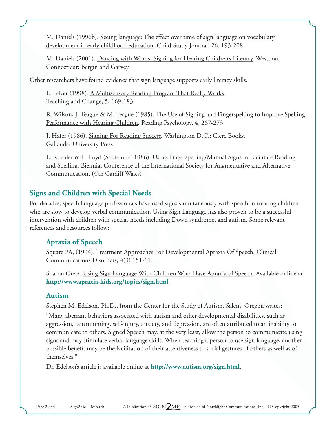M. Daniels (1996b). Seeing language: The effect over time of sign language on vocabulary development in early childhood education. Child Study Journal, 26, 193-208.

M. Daniels (2001). Dancing with Words: Signing for Hearing Children's Literacy. Westport, Connecticut: Bergin and Garvey.

Other researchers have found evidence that sign language supports early literacy skills.

L. Felzer (1998). A Multisensory Reading Program That Really Works. Teaching and Change, 5, 169-183.

R. Wilson, J. Teague & M. Teague (1985). The Use of Signing and Fingerspelling to Improve Spelling Performance with Hearing Children. Reading Psychology, 4, 267-273.

J. Hafer (1986). Signing For Reading Success. Washington D.C.: Clerc Books, Gallaudet University Press.

L. Koehler & L. Loyd (September 1986). Using Fingerspelling/Manual Signs to Facilitate Reading and Spelling. Biennial Conference of the International Society for Augmentative and Alternative Communication. (4'th Cardiff Wales)

## **Signs and Children with Special Needs**

For decades, speech language professionals have used signs simultaneously with speech in treating children who are slow to develop verbal communication. Using Sign Language has also proven to be a successful intervention with children with special-needs including Down syndrome, and autism. Some relevant references and resources follow:

## **Apraxia of Speech**

Square PA, (1994). Treatment Approaches For Developmental Apraxia Of Speech. Clinical Communications Disorders, 4(3):151-61.

Sharon Gretz. Using Sign Language With Children Who Have Apraxia of Speech. Available online at **http://www.apraxia-kids.org/topics/sign.html**.

#### **Autism**

Stephen M. Edelson, Ph.D., from the Center for the Study of Autism, Salem, Oregon writes: "Many aberrant behaviors associated with autism and other developmental disabilities, such as aggression, tantrumming, self-injury, anxiety, and depression, are often attributed to an inability to communicate to others. Signed Speech may, at the very least, allow the person to communicate using signs and may stimulate verbal language skills. When teaching a person to use sign language, another possible benefit may be the facilitation of their attentiveness to social gestures of others as well as of themselves."

Dr. Edelson's article is available online at **http://www.autism.org/sign.html**.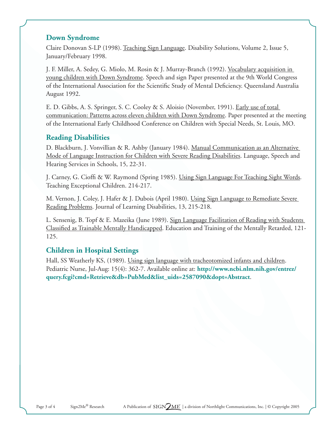## **Down Syndrome**

Claire Donovan S-LP (1998). Teaching Sign Language. Disability Solutions, Volume 2, Issue 5, January/February 1998.

J. F. Miller, A. Sedey, G. Miolo, M. Rosin & J. Murray-Branch (1992). Vocabulary acquisition in young children with Down Syndrome. Speech and sign Paper presented at the 9th World Congress of the International Association for the Scientific Study of Mental Deficiency. Queensland Australia August 1992.

E. D. Gibbs, A. S. Springer, S. C. Cooley & S. Aloisio (November, 1991). Early use of total communication: Patterns across eleven children with Down Syndrome. Paper presented at the meeting of the International Early Childhood Conference on Children with Special Needs, St. Louis, MO.

# **Reading Disabilities**

D. Blackburn, J. Vonvillian & R. Ashby (January 1984). Manual Communication as an Alternative Mode of Language Instruction for Children with Severe Reading Disabilities. Language, Speech and Hearing Services in Schools, 15, 22-31.

J. Carney, G. Cioffi & W. Raymond (Spring 1985). Using Sign Language For Teaching Sight Words. Teaching Exceptional Children. 214-217.

M. Vernon, J. Coley, J. Hafer & J. Dubois (April 1980). Using Sign Language to Remediate Severe Reading Problems. Journal of Learning Disabilities, 13, 215-218.

L. Sensenig, B. Topf & E. Mazeika (June 1989). Sign Language Facilitation of Reading with Students Classified as Trainable Mentally Handicapped. Education and Training of the Mentally Retarded, 121- 125.

# **Children in Hospital Settings**

Hall, SS Weatherly KS, (1989). Using sign language with tracheotomized infants and children. Pediatric Nurse, Jul-Aug: 15(4): 362-7. Available online at: **http://www.ncbi.nlm.nih.gov/entrez/ query.fcgi?cmd=Retrieve&db=PubMed&list\_uids=2587090&dopt=Abstract**.